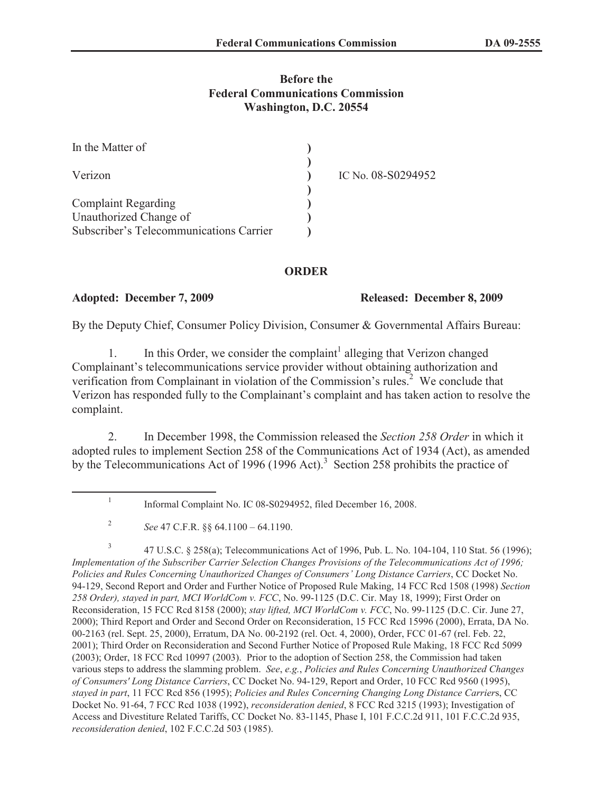## **Before the Federal Communications Commission Washington, D.C. 20554**

| In the Matter of                        |                    |
|-----------------------------------------|--------------------|
| Verizon                                 | IC No. 08-S0294952 |
|                                         |                    |
| <b>Complaint Regarding</b>              |                    |
| Unauthorized Change of                  |                    |
| Subscriber's Telecommunications Carrier |                    |

## **ORDER**

### **Adopted: December 7, 2009 Released: December 8, 2009**

By the Deputy Chief, Consumer Policy Division, Consumer & Governmental Affairs Bureau:

1. In this Order, we consider the complaint<sup>1</sup> alleging that Verizon changed Complainant's telecommunications service provider without obtaining authorization and verification from Complainant in violation of the Commission's rules.<sup>2</sup> We conclude that Verizon has responded fully to the Complainant's complaint and has taken action to resolve the complaint.

2. In December 1998, the Commission released the *Section 258 Order* in which it adopted rules to implement Section 258 of the Communications Act of 1934 (Act), as amended by the Telecommunications Act of 1996 (1996 Act).<sup>3</sup> Section 258 prohibits the practice of

<sup>1</sup> Informal Complaint No. IC 08-S0294952, filed December 16, 2008.

<sup>2</sup> *See* 47 C.F.R. §§ 64.1100 – 64.1190.

<sup>3</sup> 47 U.S.C. § 258(a); Telecommunications Act of 1996, Pub. L. No. 104-104, 110 Stat. 56 (1996); *Implementation of the Subscriber Carrier Selection Changes Provisions of the Telecommunications Act of 1996; Policies and Rules Concerning Unauthorized Changes of Consumers' Long Distance Carriers*, CC Docket No. 94-129, Second Report and Order and Further Notice of Proposed Rule Making, 14 FCC Rcd 1508 (1998) *Section 258 Order), stayed in part, MCI WorldCom v. FCC*, No. 99-1125 (D.C. Cir. May 18, 1999); First Order on Reconsideration, 15 FCC Rcd 8158 (2000); *stay lifted, MCI WorldCom v. FCC*, No. 99-1125 (D.C. Cir. June 27, 2000); Third Report and Order and Second Order on Reconsideration, 15 FCC Rcd 15996 (2000), Errata, DA No. 00-2163 (rel. Sept. 25, 2000), Erratum, DA No. 00-2192 (rel. Oct. 4, 2000), Order, FCC 01-67 (rel. Feb. 22, 2001); Third Order on Reconsideration and Second Further Notice of Proposed Rule Making, 18 FCC Rcd 5099 (2003); Order, 18 FCC Rcd 10997 (2003). Prior to the adoption of Section 258, the Commission had taken various steps to address the slamming problem. *See*, *e.g.*, *Policies and Rules Concerning Unauthorized Changes of Consumers' Long Distance Carriers*, CC Docket No. 94-129, Report and Order, 10 FCC Rcd 9560 (1995), *stayed in part*, 11 FCC Rcd 856 (1995); *Policies and Rules Concerning Changing Long Distance Carrier*s, CC Docket No. 91-64, 7 FCC Rcd 1038 (1992), *reconsideration denied*, 8 FCC Rcd 3215 (1993); Investigation of Access and Divestiture Related Tariffs, CC Docket No. 83-1145, Phase I, 101 F.C.C.2d 911, 101 F.C.C.2d 935, *reconsideration denied*, 102 F.C.C.2d 503 (1985).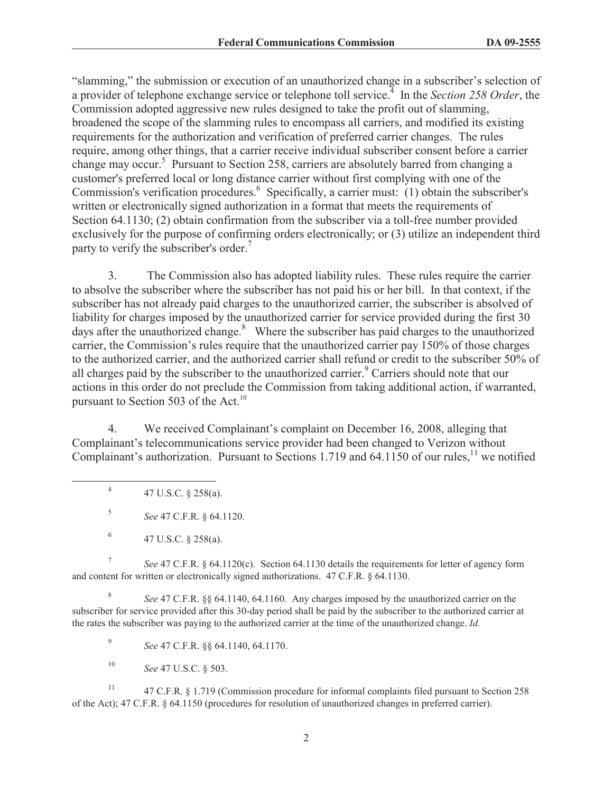"slamming," the submission or execution of an unauthorized change in a subscriber's selection of a provider of telephone exchange service or telephone toll service.<sup>4</sup> In the *Section 258 Order*, the Commission adopted aggressive new rules designed to take the profit out of slamming, broadened the scope of the slamming rules to encompass all carriers, and modified its existing requirements for the authorization and verification of preferred carrier changes. The rules require, among other things, that a carrier receive individual subscriber consent before a carrier change may occur.<sup>5</sup> Pursuant to Section 258, carriers are absolutely barred from changing a customer's preferred local or long distance carrier without first complying with one of the Commission's verification procedures.<sup>6</sup> Specifically, a carrier must: (1) obtain the subscriber's written or electronically signed authorization in a format that meets the requirements of Section 64.1130; (2) obtain confirmation from the subscriber via a toll-free number provided exclusively for the purpose of confirming orders electronically; or (3) utilize an independent third party to verify the subscriber's order.<sup>7</sup>

3. The Commission also has adopted liability rules. These rules require the carrier to absolve the subscriber where the subscriber has not paid his or her bill. In that context, if the subscriber has not already paid charges to the unauthorized carrier, the subscriber is absolved of liability for charges imposed by the unauthorized carrier for service provided during the first 30 days after the unauthorized change. $8$  Where the subscriber has paid charges to the unauthorized carrier, the Commission's rules require that the unauthorized carrier pay 150% of those charges to the authorized carrier, and the authorized carrier shall refund or credit to the subscriber 50% of all charges paid by the subscriber to the unauthorized carrier.<sup>9</sup> Carriers should note that our actions in this order do not preclude the Commission from taking additional action, if warranted, pursuant to Section 503 of the Act.<sup>10</sup>

4. We received Complainant's complaint on December 16, 2008, alleging that Complainant's telecommunications service provider had been changed to Verizon without Complainant's authorization. Pursuant to Sections 1.719 and 64.1150 of our rules,<sup>11</sup> we notified

7 *See* 47 C.F.R. § 64.1120(c). Section 64.1130 details the requirements for letter of agency form and content for written or electronically signed authorizations. 47 C.F.R. § 64.1130.

8 *See* 47 C.F.R. §§ 64.1140, 64.1160. Any charges imposed by the unauthorized carrier on the subscriber for service provided after this 30-day period shall be paid by the subscriber to the authorized carrier at the rates the subscriber was paying to the authorized carrier at the time of the unauthorized change. *Id.*

9 *See* 47 C.F.R. §§ 64.1140, 64.1170.

<sup>10</sup> *See* 47 U.S.C. § 503.

<sup>11</sup> 47 C.F.R. § 1.719 (Commission procedure for informal complaints filed pursuant to Section 258 of the Act); 47 C.F.R. § 64.1150 (procedures for resolution of unauthorized changes in preferred carrier).

<sup>4</sup> 47 U.S.C. § 258(a).

<sup>5</sup> *See* 47 C.F.R. § 64.1120.

<sup>6</sup> 47 U.S.C. § 258(a).